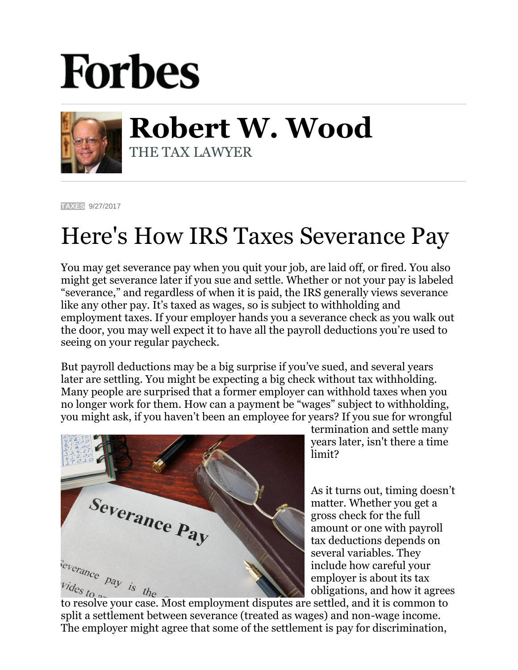## **Forbes**



**Robert W. Wood** THE TAX LAWYER

**[TAXES](https://www.forbes.com/taxes)** 9/27/2017

## Here's How IRS Taxes Severance Pay

You may get severance pay when you quit your job, are laid off, or fired. You also might get severance later if you sue and settle. Whether or not your pay is labeled "severance," and regardless of when it is paid, the IRS generally views severance like any other pay. It's taxed as wages, so is subject to withholding and employment taxes. If your employer hands you a severance check as you walk out the door, you may well expect it to have all the payroll deductions you're used to seeing on your regular paycheck.

But payroll deductions may be a big surprise if you've sued, and several years later are settling. You might be expecting a big check without tax withholding. Many people are surprised that a former employer can withhold taxes when you no longer work for them. How can a payment be "wages" subject to withholding, you might ask, if you haven't been an employee for years? If you sue for wrongful



termination and settle many years later, isn't there a time limit?

As it turns out, timing doesn't matter. Whether you get a gross check for the full amount or one with payroll tax deductions depends on several variables. They include how careful your employer is about its tax obligations, and how it agrees

split a settlement between severance (treated as wages) and non-wage income. The employer might agree that some of the settlement is pay for discrimination,